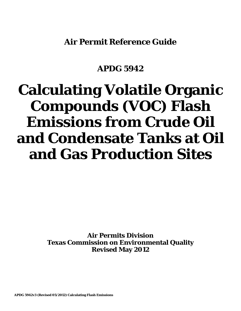**Air Permit Reference Guide**

# **APDG 5942**

# **Calculating Volatile Organic Compounds (VOC) Flash Emissions from Crude Oil and Condensate Tanks at Oil and Gas Production Sites**

**Air Permits Division Texas Commission on Environmental Quality Revised May 2012**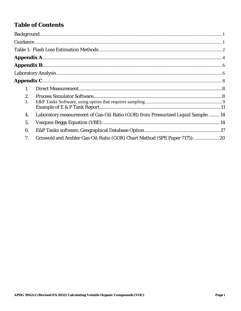## **Table of Contents**

| 1. |                                                                                   |  |
|----|-----------------------------------------------------------------------------------|--|
| 2. |                                                                                   |  |
| 3. |                                                                                   |  |
|    |                                                                                   |  |
| 4. | Laboratory measurement of Gas-Oil-Ratio (GOR) from Pressurized Liquid Sample:  14 |  |
| 5. |                                                                                   |  |
| 6. |                                                                                   |  |
| 7. | Griswold and Ambler Gas-Oil-Ratio (GOR) Chart Method (SPE Paper 7175): 20         |  |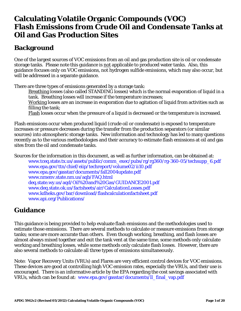# **Calculating Volatile Organic Compounds (VOC) Flash Emissions from Crude Oil and Condensate Tanks at Oil and Gas Production Sites**

# <span id="page-2-0"></span>**Background**

One of the largest sources of VOC emissions from an oil and gas production site is oil or condensate storage tanks. Please note this guidance is not applicable to produced water tanks. Also, this guidance focuses only on VOC emissions, not hydrogen sulfide emissions, which may also occur, but will be addressed in a separate guidance.

There are three types of emissions generated by a storage tank:

Breathing losses (also called STANDING losses) which is the normal evaporation of liquid in a tank. Breathing losses will increase if the temperature increases;

Working losses are an increase in evaporation due to agitation of liquid from activities such as filling the tank;

Flash losses occur when the pressure of a liquid is decreased or the temperature is increased.

Flash emissions occur when produced liquid (crude oil or condensate) is exposed to temperature increases or pressure decreases during the transfer from the production separators (or similar sources) into atmospheric storage tanks. New information and technology has led to many questions recently as to the various methodologies and their accuracy to estimate flash emissions at oil and gas sites from the oil and condensate tanks.

Sources for the information in this document, as well as further information, can be obtained at:

[www.tceq.state.tx.us/assets/public/comm\\_exec/pubs/rg/rg360/rg-360-05/techsupp\\_6.pdf](http://www.tceq.state.tx.us/assets/public/comm_exec/pubs/rg/rg360/rg-360-05/techsupp_6.pdf) [www.epa.gov/ttn/chief/eiip/techreport/volume02/ii10.pdf](http://www.epa.gov/ttn/chief/eiip/techreport/volume02/ii10.pdf) [www.epa.gov/gasstar/documents/fall2004update.pdf](http://www.epa.gov/gasstar/documents/fall2004update.pdf)  [www.nmenv.state.nm.us/aqb/FAQ.html](http://www.nmenv.state.nm.us/aqb/FAQ.html) [deq.state.wy.us/aqd/Oil%20and%20Gas/GUIDANCE2001.pdf](http://deq.state.wy.us/aqd/Oil%20and%20Gas/GUIDANCE2001.pdf) [www.deq.state.ok.us/factsheets/air/CalculationLosses.pdf](http://www.deq.state.ok.us/factsheets/air/CalculationLosses.pdf)  [www.kdheks.gov/bar/download/flashcalculationfactsheet.pdf](http://www.kdheks.gov/bar/download/flashcalculationfactsheet.pdf)  [www.api.org/Publications/](http://www.api.org/Publications/)

# <span id="page-2-1"></span>**Guidance**

This guidance is being provided to help evaluate flash emissions and the methodologies used to estimate those emissions. There are several methods to calculate or measure emissions from storage tanks; some are more accurate than others. Even though working, breathing, and flash losses are almost always mixed together and exit the tank vent at the same time, some methods only calculate working and breathing losses, while some methods only calculate flash losses. However, there are also several methods to calculate all three types of emissions simultaneously.

Note: Vapor Recovery Units (VRUs) and Flares are very efficient control devices for VOC emissions. These devices are good at controlling high VOC emission rates, especially the VRUs, and their use is encouraged. There is an informative article by the EPA regarding the cost savings associated with VRUs, which can be found at: [www.epa.gov/gasstar/documents/ll\\_final\\_vap.pdf](http://www.epa.gov/gasstar/documents/ll_final_vap.pdf)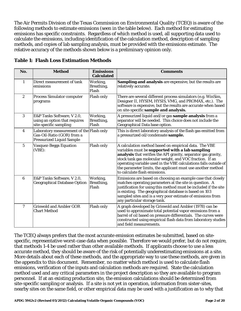The Air Permits Division of the Texas Commission on Environmental Quality (TCEQ) is aware of the following methods to estimate emissions (seen in the table below). Each method for estimating emissions has specific constraints. Regardless of which method is used, all supporting data used to calculate the emissions, including identification of the calculation method, description of sampling methods, and copies of lab sampling analysis, must be provided with the emissions estimate. The relative accuracy of the methods shown below is a preliminary opinion only.

| No.              | <b>Method</b>                                                                                              | <b>Emissions</b><br><b>Calculated</b> | <b>Comments</b>                                                                                                                                                                                                                                                                                                                                                                                            |
|------------------|------------------------------------------------------------------------------------------------------------|---------------------------------------|------------------------------------------------------------------------------------------------------------------------------------------------------------------------------------------------------------------------------------------------------------------------------------------------------------------------------------------------------------------------------------------------------------|
| $\mathbf{1}$     | Direct measurement of tank<br>emissions                                                                    | Working,<br>Breathing,<br>Flash       | Sampling and analysis are expensive, but the results are<br>relatively accurate.                                                                                                                                                                                                                                                                                                                           |
| $\boldsymbol{2}$ | <b>Process Simulator computer</b><br>programs                                                              | <b>Flash only</b>                     | There are several different process simulators (e.g. WinSim,<br>Designer II, HYSIM, HYSIS, VMG, and PROMAX, etc.). The<br>software is expensive, but the results are accurate when based<br>on site-specific sample and analysis.                                                                                                                                                                          |
| 3                | E&P Tanks Software, V 2.0,<br>using an option that requires<br>site-specific sampling                      | Working,<br>Breathing,<br>Flash       | A pressurized liquid and/or gas sample analysis from a<br>separator will be needed. This choice does not include the<br>Geographical Data base option.                                                                                                                                                                                                                                                     |
| 4                | Laboratory measurement of the Flash only<br>Gas-Oil-Ratio (GOR) from a<br><b>Pressurized Liquid Sample</b> |                                       | This is direct laboratory analysis of the flash gas emitted from<br>a pressurized oil/condensate sample.                                                                                                                                                                                                                                                                                                   |
| $\overline{5}$   | Vasquez-Beggs Equation<br>(VBE):                                                                           | <b>Flash only</b>                     | A calculation method based on empirical data. The VBE<br>variables must be supported with a lab sampling<br>analysis that verifies the API gravity, separator gas gravity,<br>stock tank gas molecular weight, and VOC fraction. If an<br>operating variable used in the VBE calculations falls outside of<br>the parameter limits, the applicant must use another method<br>to calculate flash emissions. |
| 6                | E&P Tanks Software, V 2.0,<br><b>Geographical Database Option</b>                                          | Working,<br>Breathing,<br>Flash       | Emissions are based on choosing an example case that closely<br>matches operating parameters at the site in question. A<br>justification for using this method must be included if the site<br>is existing. The geographical database is based on 103<br>sampled sites and is a very poor estimate of emissions from<br>any particular storage tank.                                                       |
| 7                | <b>Griswold and Ambler GOR</b><br><b>Chart Method</b>                                                      | <b>Flash only</b>                     | A graph developed by Griswold and Ambler (1978) can be<br>used to approximate total potential vapor emissions from a<br>barrel of oil based on pressure differentials. The curves were<br>constructed using empirical flash data from laboratory studies<br>and field measurements.                                                                                                                        |

<span id="page-3-0"></span>**Table 1: Flash Loss Estimation Methods**

The TCEQ always prefers that the most accurate emission estimates be submitted, based on sitespecific, representative worst-case data when possible. Therefore we would prefer, but do not require, that methods 1-4 be used rather than other available methods. If applicants choose to use a less accurate method, they should be aware of the risk of potentially underestimating emissions at a site. More details about each of these methods, and the appropriate way to use these methods, are given in the appendix to this document.Remember, no matter which method is used to calculate flash emissions, verification of the inputs and calculation methods are required. State the calculation method used and any critical parameters in the project description so they are available to program personnel. If at an existing production site, the emission calculations should be determined from site-specific sampling or analysis. If a site is not yet in operation, information from sister-sites, nearby sites on the same field, or other empirical data may be used with a justification as to why that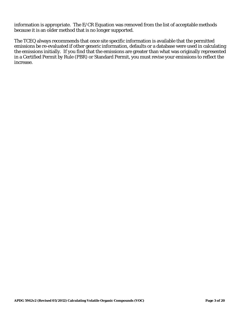information is appropriate. The E/CR Equation was removed from the list of acceptable methods because it is an older method that is no longer supported.

The TCEQ always recommends that once site specific information is available that the permitted emissions be re-evaluated if other generic information, defaults or a database were used in calculating the emissions initially. If you find that the emissions are greater than what was originally represented in a Certified Permit by Rule (PBR) or Standard Permit, you must revise your emissions to reflect the increase.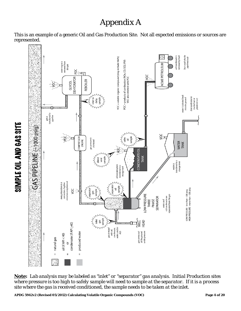# Appendix A

<span id="page-5-0"></span>This is an example of a generic Oil and Gas Production Site. Not all expected emissions or sources are represented.



*Note: Lab analysis may be labeled as "inlet" or "separator" gas analysis. Initial Production sites where pressure is too high to safely sample will need to sample at the separator. If it is a process site where the gas is received conditioned, the sample needs to be taken at the inlet.*

**APDG 5942v2 (Revised 05/2012) Calculating Volatile Organic Compounds (VOC) Page 4 of 20** 

SIMPLE OIL AND GAS SITE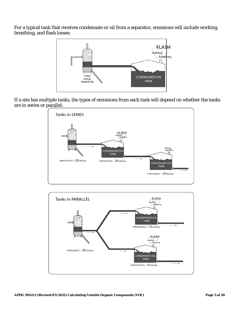For a typical tank that receives condensate or oil from a separator, emissions will include working, breathing, and flash losses:



If a site has multiple tanks, the types of emissions from each tank will depend on whether the tanks are in series or parallel:



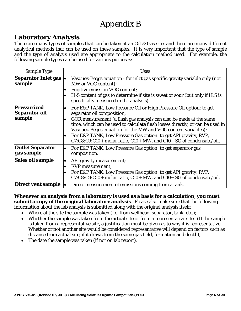# Appendix B

### <span id="page-7-1"></span><span id="page-7-0"></span>**Laboratory Analysis**

There are many types of samples that can be taken at an Oil & Gas site, and there are many different analytical methods that can be used on these samples. It is very important that the type of sample and the type of analysis used are appropriate to the calculation method used. For example, the following sample types can be used for various purposes:

| <b>Sample Type</b>                            |                                     | <b>Uses</b>                                                                                                                                                                                                                                                                                                                                                                                 |
|-----------------------------------------------|-------------------------------------|---------------------------------------------------------------------------------------------------------------------------------------------------------------------------------------------------------------------------------------------------------------------------------------------------------------------------------------------------------------------------------------------|
| <b>Separator Inlet gas</b><br>sample          | $\bullet$                           | Vasquez-Beggs equation - for inlet gas specific gravity variable only (not<br>MW or VOC content);                                                                                                                                                                                                                                                                                           |
|                                               | $\bullet$                           | <b>Fugitive emission VOC content;</b>                                                                                                                                                                                                                                                                                                                                                       |
|                                               | $\bullet$                           | $H_2S$ content of gas to determine if site is sweet or sour (but only if $H_2S$ is<br>specifically measured in the analysis).                                                                                                                                                                                                                                                               |
| Pressurized<br><b>Separator oil</b><br>sample | $\bullet$<br>$\bullet$<br>$\bullet$ | For E&P TANK, Low Pressure Oil or High Pressure Oil option: to get<br>separator oil composition;<br>GOR measurement (a flash gas analysis can also be made at the same<br>time, which can be used to calculate flash losses directly, or can be used in<br>Vasquez-Beggs equation for the MW and VOC content variables);<br>For E&P TANK, Low Pressure Gas option: to get API gravity, RVP, |
|                                               |                                     | C7:C8:C9:C10+ molar ratio, C10+ MW, and C10+ SG of condensate/oil.                                                                                                                                                                                                                                                                                                                          |
| <b>Outlet Separator</b><br>gas sample         | $\bullet$                           | For E&P TANK, Low Pressure Gas option: to get separator gas<br>composition.                                                                                                                                                                                                                                                                                                                 |
| Sales oil sample                              | $\bullet$<br>$\bullet$              | API gravity measurement;<br><b>RVP</b> measurement;<br>For E&P TANK, Low Pressure Gas option: to get API gravity, RVP,<br>C7:C8:C9:C10+ molar ratio, C10+ MW, and C10+ SG of condensate/oil.                                                                                                                                                                                                |
| Direct vent sample                            | le.                                 | Direct measurement of emissions coming from a tank.                                                                                                                                                                                                                                                                                                                                         |

**Whenever an analysis from a laboratory is used as a basis for a calculation, you must submit a copy of the original laboratory analysis**. Please also make sure that the following information about the lab analysis is submitted along with the original analysis itself:

- Where at the site the sample was taken (i.e. from wellhead, separator, tank, etc.);
- Whether the sample was taken from the actual site or from a representative site. (If the sample is taken from a representative site, a justification must be given as to why it is representative. Whether or not another site would be considered representative will depend on factors such as distance from actual site, if it draws from the same gas field, formation and depth);
- The date the sample was taken (if not on lab report).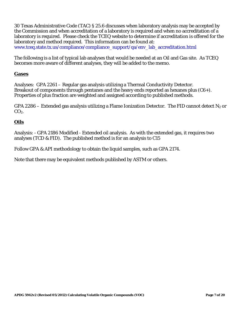30 Texas Administrative Code (TAC) § 25.6 discusses when laboratory analysis may be accepted by the Commission and when accreditation of a laboratory is required and when no accreditation of a laboratory is required. Please check the TCEQ website to determine if accreditation is offered for the laboratory and method required. This information can be found at: [www.tceq.state.tx.us/compliance/compliance\\_support/qa/env\\_lab\\_accreditation.html](http://www.tceq.state.tx.us/compliance/compliance_support/qa/env_lab_accreditation.html)

The following is a list of typical lab analyses that would be needed at an Oil and Gas site. As TCEQ becomes more aware of different analyses, they will be added to the memo.

#### **Gases**

Analyses: GPA 2261 – Regular gas analysis utilizing a Thermal Conductivity Detector. Breakout of components through pentanes and the heavy ends reported as hexanes plus  $(C6+)$ . Properties of plus fraction are weighted and assigned according to published methods.

GPA 2286 – Extended gas analysis utilizing a Flame Ionization Detector. The FID cannot detect  $N_2$  or  $CO<sub>2</sub>$ .

#### **Oils**

Analysis: - GPA 2186 Modified - Extended oil analysis. As with the extended gas, it requires two analyses (TCD & FID). The published method is for an analysis to C15

Follow GPA & API methodology to obtain the liquid samples, such as GPA 2174.

Note that there may be equivalent methods published by ASTM or others.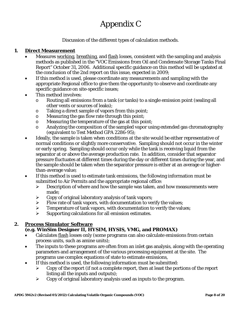# Appendix C

Discussion of the different types of calculation methods.

#### <span id="page-9-1"></span><span id="page-9-0"></span>**1. Direct Measurement**

- Measures working, breathing, and flash losses, consistent with the sampling and analysis methods as published in the "VOC Emissions from Oil and Condensate Storage Tanks Final Report" October 31, 2006. Additional specific guidance on this method will be updated at the conclusion of the 2nd report on this issue, expected in 2009;
- If this method is used, please coordinate any measurements and sampling with the appropriate Regional office to give them the opportunity to observe and coordinate any specific guidance on site-specific issues;
- This method involves:
	- o Routing all emissions from a tank (or tanks) to a single emission point (sealing all other vents or sources of leaks);
	- o Taking a direct sample of vapors from this point;<br>  $\circ$  Measuring the gas flow rate through this point:
	- Measuring the gas flow rate through this point;
	- o Measuring the temperature of the gas at this point;
	- o Analyzing the composition of the sampled vapor using extended gas chromatography (equivalent to Test Method GPA 2286-95);
- Ideally, the sample is taken when conditions at the site would be either representative of normal conditions or slightly more conservative. Sampling should not occur in the winter or early spring. Sampling should occur only while the tank is receiving liquid from the separator at or above the average production rate. In addition, consider that separator pressure fluctuates at different times during the day or different times during the year, and the sample should be taken when the separator pressure is either at an average or higherthan-average value;
- If this method is used to estimate tank emissions, the following information must be submitted to Air Permits and the appropriate regional office:
	- $\triangleright$  Description of where and how the sample was taken, and how measurements were made;
	- $\triangleright$  Copy of original laboratory analysis of tank vapors;
	- $\triangleright$  Flow rate of tank vapors, with documentation to verify the values;
	- $\triangleright$  Temperature of tank vapors, with documentation to verify the values;
	- $\triangleright$  Supporting calculations for all emission estimates.

#### <span id="page-9-2"></span>**2. Process Simulator Software**

#### **(e.g. WinSim Designer II, HYSIM, HYSIS, VMG, and PROMAX)**

- Calculates flash losses only (some programs can also calculate emissions from certain process units, such as amine units);
- The inputs to these programs are often from an inlet gas analysis, along with the operating parameters and arrangement of the various processing equipment at the site. The programs use complex equations of state to estimate emissions,
- If this method is used, the following information must be submitted:
	- $\triangleright$  Copy of the report (if not a complete report, then at least the portions of the report listing all the inputs and outputs);
	- $\triangleright$  Copy of original laboratory analysis used as inputs to the program.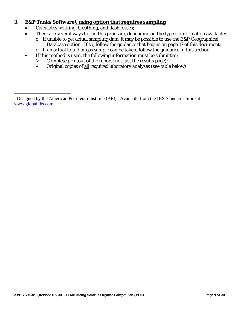#### <span id="page-10-0"></span>**3. E&P Tanks Software**[1](#page-10-1)**, using option that requires sampling**

- Calculates working, breathing, and flash losses;
- There are several ways to run this program, depending on the type of information available:
	- $\circ$  If unable to get actual sampling data, it may be possible to use the E&P Geographical Database option. If so, follow the guidance that begins on page 17 of this document;
	- o If an actual liquid or gas sample can be taken, follow the guidance in this section.
- If this method is used, the following information must be submitted:
	- $\triangleright$  Complete printout of the report (not just the results page);
	- Original copies of all required laboratory analyses (see table below)

<span id="page-10-1"></span> $\,1$ <sup>1</sup> Designed by the American Petroleum Institute (API). Available from the IHS Standards Store at [www.global.ihs.com](http://www.global.ihs.com/)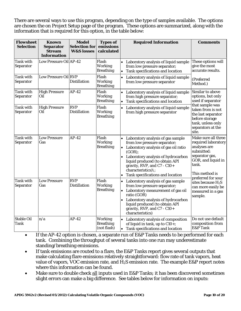There are several ways to use this program, depending on the type of samples available. The options are chosen the on Project Setup page of the program. These options are summarized, along with the information that is required for this option, in the table below:

| <b>Flowsheet</b><br><b>Selection</b> | <b>Known</b><br><b>Separator</b><br><b>Stream</b><br><b>Information</b> | <b>Model</b><br><b>Selection for</b><br><b>W&amp;S</b> losses | <b>Types of</b><br>emissions<br>calculated        | <b>Required Information</b><br><b>Comments</b>                                                                                                                                                                                                                                                                                                                                                                                          |
|--------------------------------------|-------------------------------------------------------------------------|---------------------------------------------------------------|---------------------------------------------------|-----------------------------------------------------------------------------------------------------------------------------------------------------------------------------------------------------------------------------------------------------------------------------------------------------------------------------------------------------------------------------------------------------------------------------------------|
| Tank with<br>Separator               | Low Pressure Oil AP-42                                                  |                                                               | Flash<br>Working<br><b>Breathing</b>              | These options will<br>• Laboratory analysis of liquid sample<br>give the most<br>from low pressure separator;<br>accurate results.<br>Tank specifications and location<br>$\bullet$                                                                                                                                                                                                                                                     |
| Tank with<br>Separator               | Low Pressure Oil RVP                                                    | <b>Distillation</b>                                           | Flash<br><b>Working</b><br><b>Breathing</b>       | Laboratory analysis of liquid sample<br>$\bullet$<br>(Preferred<br>from low pressure separator<br>Method.)                                                                                                                                                                                                                                                                                                                              |
| Tank with<br>Separator               | <b>High Pressure</b><br>Oil                                             | $AP-42$                                                       | Flash<br>Working<br><b>Breathing</b>              | Similar to above<br>Laboratory analysis of liquid sample<br>$\bullet$<br>options, but only<br>from high pressure separator;<br>used if separator<br>Tank specifications and location<br>$\bullet$                                                                                                                                                                                                                                       |
| Tank with<br>Separator               | <b>High Pressure</b><br>Oil                                             | <b>RVP</b><br><b>Distillation</b>                             | Flash<br>Working<br><b>Breathing</b>              | that sample was<br>Laboratory analysis of liquid sample<br>taken from is not<br>from high pressure separator<br>the last separator<br>before storage<br>tank, unless only<br>separators at the<br>site.                                                                                                                                                                                                                                 |
| Tank with<br>Separator               | <b>Low Pressure</b><br>Gas                                              | $AP-42$                                                       | Flash<br><b>Working</b><br><b>Breathing</b>       | Make sure all three<br>Laboratory analysis of gas sample<br>from low pressure separator;<br>required laboratory<br>analyses are<br>• Laboratory analysis of gas oil ratio<br>submitted:<br>(GOR);<br>separator gas,<br>Laboratory analysis of hydrocarbon<br>GOR, and liquid in<br>liquid produced (to obtain API<br>tank.<br>gravity, RVP, and C7 - $C10+$<br>characteristics)\;<br>This method is<br>Tank specifications and location |
| <b>Tank with</b><br>Separator        | <b>Low Pressure</b><br>Gas                                              | <b>RVP</b><br><b>Distillation</b>                             | Flash<br>Working<br><b>Breathing</b>              | preferred for sour<br>Laboratory analysis of gas sample<br>sites because $H_2S$<br>from low pressure separator;<br>can more easily be<br>Laboratory measurement of gas oil<br>measured in a gas<br>ratio (GOR)<br>sample.<br>Laboratory analysis of hydrocarbon<br>liquid produced (to obtain API<br>gravity, RVP, and C7 - C10+<br>characteristics)                                                                                    |
| <b>Stable Oil</b><br>Tank            | n/a                                                                     | $AP-42$                                                       | <b>Working</b><br><b>Breathing</b><br>(not flash) | Do not use default<br>Laboratory analysis of composition<br>$\bullet$<br>of liquid in tank, up to $C10+$ ;<br>composition from<br>E&P Tank<br>Tank specifications and location<br>$\bullet$                                                                                                                                                                                                                                             |

- If the AP-42 option is chosen, a separate run of E&P Tanks needs to be performed for each tank. Combining the throughput of several tanks into one run may underestimate standing/breathing emissions.
- If tank emissions are routed to a flare, the E&P Tanks report gives several outputs that make calculating flare emissions relatively straightforward: flow rate of tank vapors, heat value of vapors, VOC emission rate, and H2S emission rate. The example E&P report notes where this information can be found.
- Make sure to double check all inputs used in E&P Tanks; it has been discovered sometimes slight errors can make a big difference. See tables below for information on inputs: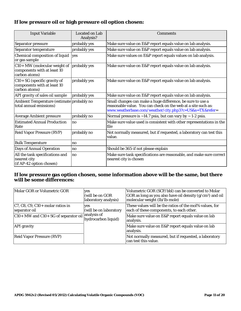#### **If low pressure oil or high pressure oil option chosen:**

| <b>Input Variable</b>                                                        | Located on Lab<br>Analysis? | <b>Comments</b>                                                                                                                                                                       |
|------------------------------------------------------------------------------|-----------------------------|---------------------------------------------------------------------------------------------------------------------------------------------------------------------------------------|
| Separator pressure                                                           | probably yes                | Make sure value on E&P report equals value on lab analysis.                                                                                                                           |
| Separator temperature                                                        | probably yes                | Make sure value on E&P report equals value on lab analysis.                                                                                                                           |
| Chemical composition of liquid<br>or gas sample                              | ves                         | Make sure values on E&P report equals values on lab analysis.                                                                                                                         |
| C10+ MW (molecular weight of<br>components with at least 10<br>carbon atoms) | probably yes                | Make sure value on E&P report equals value on lab analysis.                                                                                                                           |
| C10+ SG (specific gravity of<br>components with at least 10<br>carbon atoms) | probably yes                | Make sure value on E&P report equals value on lab analysis.                                                                                                                           |
| API gravity of sales oil sample                                              | probably yes                | Make sure value on E&P report equals value on lab analysis.                                                                                                                           |
| Ambient Temperature (estimate probably no<br>total annual emissions)         |                             | Small changes can make a huge difference, be sure to use a<br>reasonable value. You can check on the web at a site such as:<br>www.weatherbase.com/weather/city.php3?c=US&s=TX&refer= |
| <b>Average Ambient pressure</b>                                              | probably no                 | Normal pressure is $\sim$ 14.7 psia, but can vary by $\sim$ 1-2 psia.                                                                                                                 |
| <b>Estimated Annual Production</b><br>Rate                                   | no                          | Make sure value used is consistent with other representations in the<br>file                                                                                                          |
| <b>Reid Vapor Pressure (RVP)</b>                                             | probably no                 | Not normally measured, but if requested, a laboratory can test this<br>value.                                                                                                         |
| <b>Bulk Temperature</b>                                                      | no                          |                                                                                                                                                                                       |
| <b>Days of Annual Operation</b>                                              | no                          | Should be 365-if not please explain                                                                                                                                                   |
| All the tank specifications and<br>nearest city<br>(if AP-42 option chosen)  | no                          | Make sure tank specifications are reasonable, and make sure correct<br>nearest city is chosen                                                                                         |

#### **If low pressure gas option chosen, some information above will be the same, but there will be some differences:**

| Molar GOR or Volumetric GOR                          | <b>ves</b><br>(will be on GOR<br>laboratory analysis) | Volumetric GOR (SCF/bbl) can be converted to Molar<br>GOR as long as you also have oil density $(g/cm^3)$ and oil<br>molecular weight (lb/lb-mole) |
|------------------------------------------------------|-------------------------------------------------------|----------------------------------------------------------------------------------------------------------------------------------------------------|
| $ C7, C8, C9, C10+$ molar ratios in<br>separator oil | <b>ves</b><br>(will be on laboratory                  | These values will be the ratios of the mol% values, for<br>each of these components, to each other.                                                |
| C10+ MW and C10+ SG of separator oil analysis of     | hydrocarbon liquid)                                   | Make sure value on E&P report equals value on lab<br>analysis.                                                                                     |
| <b>API</b> gravity                                   |                                                       | Make sure value on E&P report equals value on lab<br>analysis.                                                                                     |
| <b>Reid Vapor Pressure (RVP)</b>                     |                                                       | Not normally measured, but if requested, a laboratory<br>can test this value.                                                                      |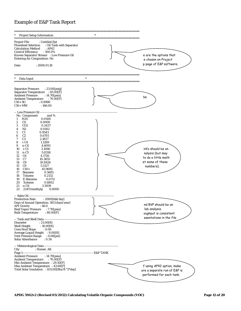#### <span id="page-13-0"></span>Example of E&P Tank Report

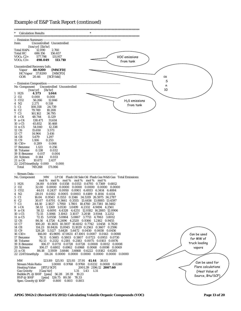### Example of E&P Tank Report (continued)

| <b>Calculation Results</b>                                                                                                                             |  |
|--------------------------------------------------------------------------------------------------------------------------------------------------------|--|
| *********************<br>-- Emission Summary -----------                                                                                               |  |
| Uncontrolled Uncontrolled<br>Item                                                                                                                      |  |
| $[ton/yr]$ $[lb/hr]$                                                                                                                                   |  |
| <b>Total HAPs</b><br>12.090<br>2.760                                                                                                                   |  |
| Total HC<br>686.156<br>156.657<br>577.798<br>VOC emissions<br>$VOCs, C2+$<br>131.917                                                                   |  |
| $VOCs, C3+$<br>498.049<br>113.710                                                                                                                      |  |
| from tank                                                                                                                                              |  |
| Uncontrolled Recovery Info.                                                                                                                            |  |
| Vapor<br>40.9200<br>[MSCFD]<br>HC Vapor 37.8200<br>[MSCFD]                                                                                             |  |
| GOR<br>20.46<br>[SCF/bbl]<br>ca                                                                                                                        |  |
| S                                                                                                                                                      |  |
| n<br>Uncontrolled Uncontrolled<br>No Component                                                                                                         |  |
| 10<br>[ton/yr]<br>$[\text{lb/hr}]$                                                                                                                     |  |
| 1 H <sub>2</sub> S<br>4.573<br>1.044                                                                                                                   |  |
| 2 02<br>0.000<br>0.000                                                                                                                                 |  |
| 3 CO <sub>2</sub><br>56.266<br>12.846<br>$H2S$ emissions<br>4 N <sub>2</sub><br>2.271<br>0.518                                                         |  |
| from tank<br>5 C1<br>24.739<br>108.358                                                                                                                 |  |
| 6 C <sub>2</sub><br>18.208<br>79.749                                                                                                                   |  |
| 7 C <sub>3</sub><br>161.162<br>36.795                                                                                                                  |  |
| $8 i-C4$<br>48.744<br>11.129<br>138.471<br>$9 n-C4$<br>31.614                                                                                          |  |
| $10$ i-C <sub>5</sub><br>45.852<br>10.468                                                                                                              |  |
| 54.040<br>$11 n-C5$<br>12.338                                                                                                                          |  |
| 12 C <sub>6</sub><br>15.650<br>3.573<br>13 C7<br>14.964<br>3.416                                                                                       |  |
| 14 C8<br>5.679<br>1.297                                                                                                                                |  |
| 15 C <sub>9</sub><br>0.253<br>1.106                                                                                                                    |  |
| $16 \text{ } C10+$<br>0.289<br>0.066<br>1.123<br>17 Benzene<br>0.256                                                                                   |  |
| 0.138<br>0.032<br>18 Toluene                                                                                                                           |  |
| 19 E-Benzene<br>0.017<br>0.004                                                                                                                         |  |
| 20 Xylenes<br>0.144<br>0.033                                                                                                                           |  |
| 21 n-C6<br>10.672<br>2.437<br>22 224Trimethylp 0.000<br>0.000                                                                                          |  |
| Total<br>749.268<br>171.066                                                                                                                            |  |
|                                                                                                                                                        |  |
| -- Stream Data ----------------<br>LP Oil Flash Oil Sale Oil Flash Gas W&S Gas Total Emissions<br>No. Component<br>MW                                  |  |
| $\text{mol} \, \%$ mol% mol% mol% mol%<br>mol %                                                                                                        |  |
| 1 H <sub>2</sub> S<br>34.80<br>0.0508 0.0358 0.0353 0.6793 0.7369 0.6812                                                                               |  |
| 2 02<br>$0.0000$ $0.0000$ $0.0000$ $0.0000$ $0.0000$ $0.0000$<br><b>32.00</b><br>3 CO <sub>2</sub><br>44.01 0.2437 0.0950 0.0901 6.4933 6.3414 6.4884  |  |
| 4 N <sub>2</sub><br>28.01  0.0102  0.0005  0.0003  0.4189  0.1814  0.4114                                                                              |  |
| 5 C1<br>0.9543 0.1553 0.1346 34.5319 26.5975 34.2787<br>16.04                                                                                          |  |
| 6 C <sub>2</sub><br>30.07  0.6701  0.3661  0.3555  13.4456  13.8885  13.4597                                                                           |  |
| 7 C <sub>3</sub><br>44.10<br>2.1827 1.7950 1.7801 18.4760 20.7381 18.5482<br>$8 i-C4$<br>58.12 1.1269 1.0530 1.0499 4.2332 4.9494 4.2561               |  |
| 9 n-C4<br>58.12<br>4.6091 4.4328 4.4251 12.0182 14.2885 12.0906                                                                                        |  |
| $10 i-C5$<br>72.15<br>3.1066 3.1043 3.1037 3.2018 3.9344 3.2252                                                                                        |  |
| 5.0558 5.0864 5.0867 3.7713 4.7063 3.8012<br>$11 n-C5$<br>72.15<br>12 C <sub>6</sub><br>86.16<br>4.1726 4.2496 4.2520 0.9366 1.2162 0.9455             |  |
| 13 C7<br>100.20 10.3655 10.5937 10.6012 0.7742 1.0458 0.7829                                                                                           |  |
| 14 C8<br>114.23 10.8426 11.0945 11.1029 0.2563 0.3607 0.2596                                                                                           |  |
| 15 C <sub>9</sub><br>128.28 5.5127 5.6428 5.6472 0.0450 0.0658 0.0456<br>16 C10+<br>166.00 45.9695 47.0631 47.1001 0.0087 0.0143 0.0088<br>Can be used |  |
| 17 Benzene<br>78.11  0.5685  0.5803  0.5807  0.0723  0.0953  0.0730                                                                                    |  |
| for MW of<br>18 Toluene<br>92.13 0.2132 0.2181 0.2183 0.0075 0.0103 0.0076                                                                             |  |
| truck loading<br>106.17  0.0711  0.0728  0.0728  0.0008  0.0012  0.0008<br>19 E-Benzene                                                                |  |
| 20 Xylenes<br>106.17  0.6802  0.6962  0.6968  0.0068  0.0098  0.0069<br>vapors<br>86.18 3.5939 3.6646 3.6668 0.6222 0.8182 0.6285<br>$21 n-C6$         |  |
| 22 224Trimethylp<br>114.24 0.0000 0.0000 0.0000 0.0000 0.0000 0.0000                                                                                   |  |
|                                                                                                                                                        |  |
| MW<br>123.89 125.93 125.93 37.91 41.44<br>38.03<br>Can be used for<br><b>Stream Mole Ratio</b><br>1.0000 0.9768 0.9760 0.0232 0.0008 0.0240            |  |
| Flare calculations<br>2001.39 2196.12 2007.60<br>[BTU/SCF]<br><b>Heating Value</b>                                                                     |  |
| <b>Gas Gravity</b><br>[Gas/Air]<br>1.31 1.43 1.31<br>(Heat Value of                                                                                    |  |
| Bubble Pt. @ 100F [psia] 56.28 20.19 19.23<br>Source, Btu/SCF)                                                                                         |  |
| $RVP \otimes 100F$<br>[psia] 126.75 80.50 78.33<br>0.800 0.803 0.803<br>Spec. Gravity $@$ 100F                                                         |  |
|                                                                                                                                                        |  |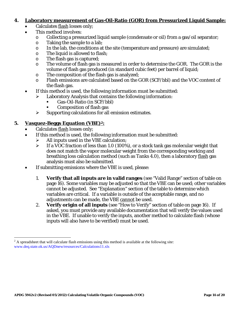#### <span id="page-15-0"></span>**4. Laboratory measurement of Gas-Oil-Ratio (GOR) from Pressurized Liquid Sample:**

- Calculates flash losses only;
- This method involves:
	- o Collecting a pressurized liquid sample (condensate or oil) from a gas/oil separator;
	- $\circ$  Taking the sample to a lab;<br> $\circ$  In the lab. the conditions at
	- In the lab, the conditions at the site (temperature and pressure) are simulated;
	- o The liquid is allowed to flash;
	- o The flash gas is captured;
	- o The volume of flash gas is measured in order to determine the GOR. The GOR is the volume of flash gas produced (in standard cubic feet) per barrel of liquid;
	- o The composition of the flash gas is analyzed;
	- o Flash emissions are calculated based on the GOR (SCF/bbl) and the VOC content of the flash gas.
- If this method is used, the following information must be submitted:
	- $\triangleright$  Laboratory Analysis that contains the following information:
		- Gas-Oil-Ratio (in SCF/bbl)
		- Composition of flash gas
	- $\triangleright$  Supporting calculations for all emission estimates.

#### <span id="page-15-1"></span>**5. Vasquez-Beggs Equation (VBE)[2](#page-15-2):**

• Calculates flash losses only;

 $\overline{a}$ 

- If this method is used, the following information must be submitted:
	- $\triangleright$  All inputs used in the VBE calculation;
	- $\triangleright$  If a VOC fraction of less than 1.0 (100%), or a stock tank gas molecular weight that does not match the vapor molecular weight from the corresponding working and breathing loss calculation method (such as Tanks 4.0), then a laboratory flash gas analysis must also be submitted.
- If submitting emissions where the VBE is used, please:
	- 1. **Verify that all inputs are in valid ranges** (see "Valid Range" section of table on page 16). Some variables may be adjusted so that the VBE can be used; other variables cannot be adjusted. See "Explanation" section of the table to determine which variables are critical. If a variable is outside of the acceptable range, and no adjustments can be made, the VBE cannot be used.
	- 2. **Verify origin of all inputs** (see "How to Verify" section of table on page 16). If asked, you must provide any available documentation that will verify the values used in the VBE. If unable to verify the inputs, another method to calculate flash (whose inputs will also have to be verified) must be used.

<span id="page-15-2"></span> $2 A$  spreadsheet that will calculate flash emissions using this method is available at the following site: [www.deq.state.ok.us/AQDnew/resources/Calculations11.xls](http://www.deq.state.ok.us/AQDnew/resources/Calculations11.xls)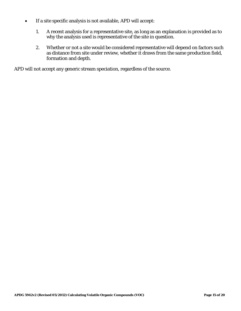- If a site specific analysis is not available, APD will accept:
	- 1. A recent analysis for a representative site, as long as an explanation is provided as to why the analysis used is representative of the site in question.
	- 2. Whether or not a site would be considered representative will depend on factors such as distance from site under review, whether it draws from the same production field, formation and depth.

APD will not accept any generic stream speciation, regardless of the source.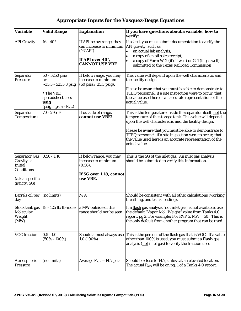| Variable                                                                                                      | <b>Valid Range</b>                                                                                                    | <b>Explanation</b>                                                                                           | If you have questions about a variable, how to<br>verify:                                                                                                                                                                                                                                                                                                                            |  |  |  |
|---------------------------------------------------------------------------------------------------------------|-----------------------------------------------------------------------------------------------------------------------|--------------------------------------------------------------------------------------------------------------|--------------------------------------------------------------------------------------------------------------------------------------------------------------------------------------------------------------------------------------------------------------------------------------------------------------------------------------------------------------------------------------|--|--|--|
| <b>API Gravity</b>                                                                                            | $16 - 40^{\circ}$                                                                                                     | If API below range, they<br>can increase to minimum<br>(16°API)<br>If API over 40°,<br><b>CANNOT USE VBE</b> | If asked, you must submit documentation to verify the<br>API gravity, such as:<br>an actual lab analysis;<br>$\bullet$<br>a copy of an oil sales receipt;<br>a copy of Form W-2 (if oil well) or G-1 (if gas well)<br>submitted to the Texas Railroad Commission                                                                                                                     |  |  |  |
| Separator<br><b>Pressure</b>                                                                                  | 50 - 5250 psia<br>or<br>~35.3 - 5235.3 <u>psig</u><br>* The VBE<br>spreadsheet uses<br>psig<br>$(psig = psia - Patm)$ | If below range, you may<br>increase to minimum<br>$(50 \text{ psia} / 35.3 \text{ psig}).$                   | This value will depend upon the well characteristic and<br>the facility design.<br>Please be aware that you must be able to demonstrate to<br>TCEQ personnel, if a site inspection were to occur, that<br>the value used here is an accurate representation of the<br>actual value.                                                                                                  |  |  |  |
| Separator<br>Temperature                                                                                      | 70 - 295°F                                                                                                            | If outside of range,<br>cannot use VBE!                                                                      | This is the temperature inside the separator itself, not the<br>temperature of the storage tank. This value will depend<br>upon the well characteristic and the facility design.<br>Please be aware that you must be able to demonstrate to<br>TCEQ personnel, if a site inspection were to occur, that<br>the value used here is an accurate representation of the<br>actual value. |  |  |  |
| <b>Separator Gas</b><br><b>Gravity</b> at<br><b>Initial</b><br>Conditions<br>(a.k.a. specific<br>gravity, SG) | $0.56 - 1.18$                                                                                                         | If below range, you may<br>increase to minimum<br>(0.56).<br>If SG over 1.18, cannot<br>use VBE.             | This is the SG of the <i>inlet</i> gas. An inlet gas analysis<br>should be submitted to verify this information.                                                                                                                                                                                                                                                                     |  |  |  |
| Barrels oil per<br>day                                                                                        | (no limits)                                                                                                           | N/A                                                                                                          | Should be consistent with all other calculations (working,<br>breathing, and truck loading).                                                                                                                                                                                                                                                                                         |  |  |  |
| Stock tank gas<br>Molecular<br>Weight<br>(MW)                                                                 | $ 18 - 125$ lb/lb-mole                                                                                                | a MW outside of this<br>range should not be seen                                                             | If a <u>flash</u> gas analysis (not inlet gas) is not available, use<br>the default "Vapor Mol. Weight" value from Tanks 4.0<br>report, pg 2. For example: For RVP 5, $MW = 50$ . This is<br>the only default from another program that can be used.                                                                                                                                 |  |  |  |
| <b>VOC</b> fraction                                                                                           | $0.5 - 1.0$<br>$(50\% - 100\%)$                                                                                       | Should almost always use<br>$1.0(100\%)$                                                                     | This is the percent of the flash gas that is VOC. If a value<br>other than 100% is used, you must submit a <b>flash</b> gas<br>analysis (not inlet gas) to verify the fraction used.                                                                                                                                                                                                 |  |  |  |
| Atmospheric<br><b>Pressure</b>                                                                                | (no limits)                                                                                                           | Average $P_{\text{atm}} = 14.7$ psia.                                                                        | Should be close to 14.7, unless at an elevated location.<br>The actual $P_{atm}$ will be on pg. 1 of a Tanks 4.0 report.                                                                                                                                                                                                                                                             |  |  |  |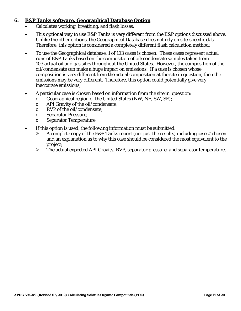#### <span id="page-18-0"></span>**6. E&P Tanks software, Geographical Database Option**

- Calculates working, breathing, and flash losses;
- This optional way to use E&P Tanks is very different from the E&P options discussed above. Unlike the other options, the Geographical Database does not rely on site-specific data. Therefore, this option is considered a completely different flash calculation method;
- To use the Geographical database, 1 of 103 cases is chosen. These cases represent actual runs of E&P Tanks based on the composition of oil/condensate samples taken from 103 actual oil and gas sites throughout the United States. However, the composition of the oil/condensate can make a huge impact on emissions. If a case is chosen whose composition is very different from the actual composition at the site in question, then the emissions may be very different. Therefore, this option could potentially give very inaccurate emissions;
- A particular case is chosen based on information from the site in question:
	- o Geographical region of the United States (NW, NE, SW, SE);<br>
	o API Gravity of the oil/condensate:
	- o API Gravity of the oil/condensate;<br>  $\circ$  RVP of the oil/condensate:
	- RVP of the oil/condensate:
	- o Separator Pressure;
	- o Separator Temperature;
- If this option is used, the following information must be submitted:
	- $\triangleright$  A complete copy of the E&P Tanks report (not just the results) including case # chosen and an explanation as to why this case should be considered the most equivalent to the project;
	- $\triangleright$  The actual expected API Gravity, RVP, separator pressure, and separator temperature.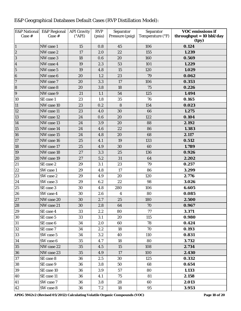| <b>E&amp;P</b> National<br>Case # | <b>E&amp;P</b> Regional<br>Case # | <b>API Gravity</b><br>$(^{\circ}API)$ | <b>RVP</b><br>(psia) | Separator<br>Pressure (psig) | Separator<br>Temperature (°F) | <b>VOC emissions if</b><br>throughput = $10$ bbl/day<br>(tpy) |
|-----------------------------------|-----------------------------------|---------------------------------------|----------------------|------------------------------|-------------------------------|---------------------------------------------------------------|
| $\vert$ 1                         | NW case 1                         | 15                                    | 0.8                  | 45                           | 106                           | 0.124                                                         |
| $\overline{\mathbf{c}}$           | NW case 2                         | 17                                    | 2.0                  | 22                           | 155                           | 1.239                                                         |
| 3                                 | NW case 3                         | 18                                    | 0.6                  | 20                           | 160                           | 0.569                                                         |
| $\overline{\mathbf{4}}$           | NW case 4                         | 19                                    | 2.3                  | 53                           | 101                           | 1.229                                                         |
| $\overline{5}$                    | NW case 5                         | 19                                    | 4.8                  | 15                           | 120                           | 1.029                                                         |
| $\boldsymbol{6}$                  | NW case 6                         | 20                                    | 1.2                  | 23                           | 79                            | 0.062                                                         |
| $\overline{7}$                    | NW case 7                         | 20                                    | 3.3                  | 17                           | 106                           | 0.353                                                         |
| 8                                 | NW case 8                         | 20                                    | 3.8                  | 18                           | 75                            | 0.226                                                         |
| $\overline{9}$                    | NW case 9                         | 21                                    | 1.1                  | 54                           | 125                           | 1.494                                                         |
| 10                                | SE case 1                         | 23                                    | 1.8                  | 35                           | 76                            | 0.165                                                         |
| 11                                | NW case 10                        | 23                                    | 0.2                  | 8                            | 154                           | 0.023                                                         |
| 12                                | NW case 11                        | 23                                    | 4.0                  | 30                           | 66                            | 1.275                                                         |
| 13                                | NW case 12                        | 24                                    | 0.6                  | 20                           | 122                           | 0.104                                                         |
| 14                                | NW case 13                        | 24                                    | 3.9                  | 20                           | 88                            | 2.192                                                         |
| 15                                | NW case 14                        | 24                                    | 4.6                  | 22                           | 86                            | 1.383                                                         |
| 16                                | NW case 15                        | 24                                    | 4.8                  | 20                           | 68                            | 2.117                                                         |
| 17                                | NW case 16                        | 25                                    | 4.1                  | 19                           | 133                           | 0.512                                                         |
| 18                                | NW case 17                        | 25                                    | 4.9                  | 30                           | 60                            | 1.789                                                         |
| 19                                | NW case 18                        | 27                                    | 3.3                  | 25                           | 136                           | 0.926                                                         |
| 20                                | NW case 19                        | 27                                    | 5.2                  | 31                           | 64                            | 2.202                                                         |
| 21                                | SE case 2                         | 29                                    | 3.1                  | 23                           | 79                            | 0.257                                                         |
| 22                                | SW case 1                         | 29                                    | 4.8                  | 17                           | 86                            | 3.299                                                         |
| 23                                | SW case 2                         | 29                                    | 4.9                  | 20                           | 120                           | 2.776                                                         |
| 24                                | SW case 3                         | 29                                    | 6.2                  | 22                           | 98                            | 3.026                                                         |
| 25                                | SE case 3                         | 30                                    | 4.8                  | 280                          | 106                           | 6.605                                                         |
| 26                                | SW case 4                         | 30                                    | 2.6                  | $\boldsymbol{4}$             | 80                            | 0.085                                                         |
| 27                                | NW case 20                        | 30                                    | 2.7                  | 25                           | 180                           | 2.500                                                         |
| 28                                | NW case 21                        | $30\,$                                | 2.8                  | 64                           | $70\,$                        | 0.967                                                         |
| 29                                | SE case 4                         | 33                                    | 2.2                  | 80                           | 77                            | 3.371                                                         |
| 30                                | SE case 5                         | 33                                    | 3.1                  | 20                           | 115                           | 0.980                                                         |
| 31                                | SE case 6                         | 34                                    | 2.0                  | 60                           | 78                            | 0.424                                                         |
| 32                                | SE case 7                         | 34                                    | 2.2                  | 18                           | 70                            | 0.193                                                         |
| 33                                | SW case 5                         | 34                                    | 3.2                  | 40                           | 110                           | 0.831                                                         |
| 34                                | SW case 6                         | 35                                    | 4.7                  | 18                           | 80                            | 3.732                                                         |
| 35                                | NW case 22                        | 35                                    | 4.5                  | 15                           | 108                           | 2.734                                                         |
| 36                                | NW case 23                        | 35                                    | 4.9                  | 17                           | 100                           | 2.430                                                         |
| 37                                | SE case 8                         | 36                                    | 2.5                  | 30                           | 125                           | 0.332                                                         |
| 38                                | SE case 9                         | 36                                    | 3.8                  | 50                           | 68                            | 0.654                                                         |
| 39                                | SE case 10                        | 36                                    | 3.9                  | 57                           | 80                            | 1.133                                                         |
| 40                                | SE case 11                        | 36                                    | 4.1                  | 75                           | 81                            | 2.158                                                         |
| 41                                | SW case 7                         | 36                                    | 3.8                  | 28                           | 60                            | 2.013                                                         |
| 42                                | SW case 8                         | ${\bf 36}$                            | 7.2                  | 18                           | 95                            | 3.953                                                         |

### E&P Geographical Databases Default Cases (RVP Distillation Model):

**APDG 5942v2 (Revised 05/2012) Calculating Volatile Organic Compounds (VOC) Page 18 of 20**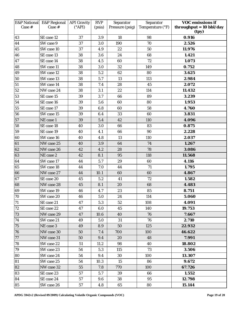| <b>E&amp;P</b> National<br>Case # | <b>E&amp;P</b> Regional<br>Case # | <b>API Gravity</b><br>$(^{\circ}API)$ | <b>RVP</b><br>(psia) | Separator<br>Pressure (psig) | Separator<br>Temperature (°F) | <b>VOC emissions if</b><br>throughput = $10$ bbl/day<br>(tpy) |
|-----------------------------------|-----------------------------------|---------------------------------------|----------------------|------------------------------|-------------------------------|---------------------------------------------------------------|
| 43                                | SE case 12                        | 37                                    | 3.9                  | 18                           | 98                            | 0.916                                                         |
| 44                                | SW case 9                         | 37                                    | 3.0                  | 190                          | 70                            | 2.526                                                         |
| 45                                | SW case 10                        | 37                                    | 4.9                  | 22                           | 50                            | 11.976                                                        |
| 46                                | SE case 13                        | 38                                    | 3.6                  | 24                           | 68                            | 1.421                                                         |
| 47                                | SE case 14                        | 38                                    | 4.5                  | 60                           | $72\,$                        | 1.073                                                         |
| 48                                | SW case 11                        | 38                                    | 3.0                  | 32                           | 149                           | 0.752                                                         |
| 49                                | SW case 12                        | 38                                    | 5.2                  | 62                           | 80                            | 3.625                                                         |
| 50                                | SW case 13                        | 38                                    | 5.7                  | 13                           | 113                           | 2.984                                                         |
| 51                                | SW case 14                        | 38                                    | 7.4                  | 28                           | 45                            | 2.072                                                         |
| 52                                | NW case 24                        | 38                                    | 3.1                  | 22                           | 114                           | 11.432                                                        |
| 53                                | SE case 15                        | 39                                    | 3.7                  | 66                           | 89                            | 3.239                                                         |
| 54                                | SE case 16                        | 39                                    | 5.6                  | 60                           | 80                            | 1.953                                                         |
| 55                                | SE case 17                        | 39                                    | 6.8                  | 60                           | 58                            | 4.760                                                         |
| 56                                | SW case 15                        | 39                                    | 6.4                  | 33                           | 60                            | 3.831                                                         |
| 57                                | NE case 1                         | 39                                    | 5.4                  | 42                           | 110                           | 4.096                                                         |
| 58                                | SE case 18                        | 40                                    | 3.0                  | 66                           | 83                            | 0.875                                                         |
| 59                                | SE case 19                        | 40                                    | 4.1                  | 66                           | 90                            | 2.228                                                         |
| 60                                | SW case 16                        | 40                                    | 4.8                  | 13                           | 110                           | 2.037                                                         |
| 61                                | NW case 25                        | 40                                    | 3.9                  | 64                           | 74                            | 1.267                                                         |
| 62                                | NW case 26                        | 42                                    | 4.2                  | 28                           | 78                            | 3.086                                                         |
| 63                                | NE case 2                         | 42                                    | 8.1                  | 95                           | 118                           | 11.568                                                        |
| 64                                | SW case 17                        | 44                                    | 5.7                  | 29                           | 60                            | 4.116                                                         |
| 65                                | SW case 18                        | 44                                    | 7.0                  | 44                           | 71                            | 1.795                                                         |
| 66                                | NW case 27                        | 44                                    | 10.1                 | 60                           | 60                            | 4.867                                                         |
| 67                                | SE case 20                        | 45                                    | 5.2                  | 41                           | 72                            | 1.582                                                         |
| 68                                | NW case 28                        | 45                                    | 8.1                  | 20                           | 68                            | 4.483                                                         |
| 69                                | SW case 19                        | 46                                    | 4.7                  | 23                           | 85                            | 8.751                                                         |
| $\overline{70}$                   | SW case 20                        | 46                                    | 5.0                  | 24                           | 114                           | 5.060                                                         |
| 71                                | SE case 21                        | 47                                    | 5.3                  | 52                           | 108                           | 4.091                                                         |
| 72                                | SE case 22                        | 47                                    | 6.0                  | 45                           | 140                           | 19.753                                                        |
| 73                                | NW case 29                        | 47                                    | 10.6                 | 40                           | 76                            | 7.667                                                         |
| 74                                | SW case 21                        | 49                                    | 5.0                  | 31                           | 76                            | 2.710                                                         |
| 75                                | NE case 3                         | 49                                    | 8.9                  | 50                           | 125                           | 22.932                                                        |
| 76                                | NW case 30                        | 50                                    | 7.4                  | 700                          | 100                           | 46.622                                                        |
| 77                                | NW case 31                        | 50                                    | 9.4                  | 20                           | 48                            | 7.991                                                         |
| 78                                | SW case 22                        | 51                                    | 11.2                 | 98                           | 40                            | 18.802                                                        |
| 79                                | SW case 23                        | 54                                    | 5.3                  | 115                          | 73                            | 3.506                                                         |
| 80                                | SW case 24                        | 54                                    | 9.4                  | 30                           | 100                           | 13.307                                                        |
| 81                                | SW case 25                        | 54                                    | 10.3                 | 15                           | 86                            | 9.672                                                         |
| 82                                | NW case 32                        | 55                                    | 7.8                  | 770                          | 100                           | 67.726                                                        |
| 83                                | SE case 23                        | 57                                    | 5.7                  | 39                           | 66                            | 1.552                                                         |
| 84                                | SE case 24                        | 57                                    | 9.6                  | 38                           | 95                            | 12.798                                                        |
| 85                                | SW case 26                        | 57                                    | 4.8                  | 65                           | 80                            | 15.144                                                        |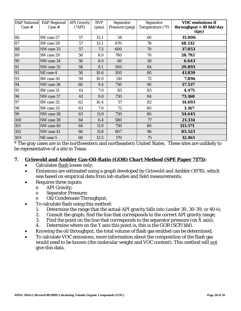| <b>E&amp;P National</b><br>Case # | <b>E&amp;P</b> Regional<br>Case # | <b>API Gravity</b><br>$(^{\circ}API)$ | <b>RVP</b><br>(psia) | Separator<br>Pressure (psig) | Separator<br>Temperature (°F) | <b>VOC emissions if</b><br>throughput = $10$ bbl/day<br>(tpy) |
|-----------------------------------|-----------------------------------|---------------------------------------|----------------------|------------------------------|-------------------------------|---------------------------------------------------------------|
| 86                                | SW case 27                        | 57                                    | 13.1                 | 54                           | 60                            | 15.006                                                        |
| 87                                | SW case 28                        | 57                                    | 13.1                 | 870                          | 78                            | 48.132                                                        |
| 88                                | NW case 33                        | 57                                    | 7.5                  | 600                          | 70                            | 37.853                                                        |
| 89                                | SW case 29                        | 58                                    | 8.0                  | 780                          | 70                            | 28.792                                                        |
| 90                                | NW case 34                        | 58                                    | 8.0                  | 60                           | 56                            | 6.643                                                         |
| 91                                | NW case 35                        | 58                                    | 9.1                  | 500                          | 84                            | 29.895                                                        |
| 92                                | NE case 4                         | 58                                    | 10.6                 | 300                          | 80                            | 41.859                                                        |
| 93                                | SW case 30                        | 59                                    | 10.0                 | 110                          | 72                            | 7.896                                                         |
| 94                                | NW case 36                        | 60                                    | 9.4                  | 750                          | 90                            | 57.537                                                        |
| 95                                | SW case 31                        | 61                                    | 7.0                  | 85                           | 85                            | 4.475                                                         |
| 96                                | NW case 37                        | 61                                    | 9.8                  | 730                          | 84                            | 73.168                                                        |
| 97                                | SW case 32                        | 62                                    | 10.4                 | 57                           | 82                            | 14.693                                                        |
| 98                                | SW case 33                        | 63                                    | 7.0                  | 72                           | 80                            | 3.167                                                         |
| 99                                | NW case 38                        | 63                                    | 11.9                 | 730                          | 80                            | 54.645                                                        |
| 100                               | NW case 39                        | 64                                    | 6.4                  | 580                          | 77                            | 21.334                                                        |
| 101                               | NW case 40                        | 64                                    | 11.0                 | 730                          | 80                            | 113.571                                                       |
| 102                               | NW case 41                        | 66                                    | 11.8                 | 807                          | 96                            | 85.523                                                        |
| 103                               | NE case 5                         | 68                                    | 12.5                 | 170                          | 75                            | 12.461                                                        |

\* The gray cases are in the northwestern and northeastern United States. These sites are unlikely to b e representative of a site in Texas.

#### <span id="page-21-0"></span>**. 7 Griswold and Ambler Gas-Oil-Ratio (GOR) Chart Method (SPE Paper 7175):**

- Calculates flash losses only;
- Emissions are estimated using a graph developed by Griswold and Ambler (1978), which was based on empirical data from lab studies and field measurements;
- Requires three inputs:
	- o API Gravity;
	- o Separator Pressure;
	- o Oil/Condensate Throughput;
	- To calculate flash using this method:
		- 1. Determine the range that the actual API gravity falls into (under 30, 30-39, or 40+);
		- 2. Consult the graph; find the line that corresponds to the correct API gravity range;
		- 3. Find the point on the line that corresponds to the separator pressure (on X axis);
		- 4. Determine where on the Y axis this point is, this is the GOR (SCF/bbl).
- Knowing the oil throughput, the total volume of flash gas emitted can be determined;
- To calculate VOC emissions, more information about the composition of the flash gas would need to be known (the molecular weight and VOC content). This method will not give this data.